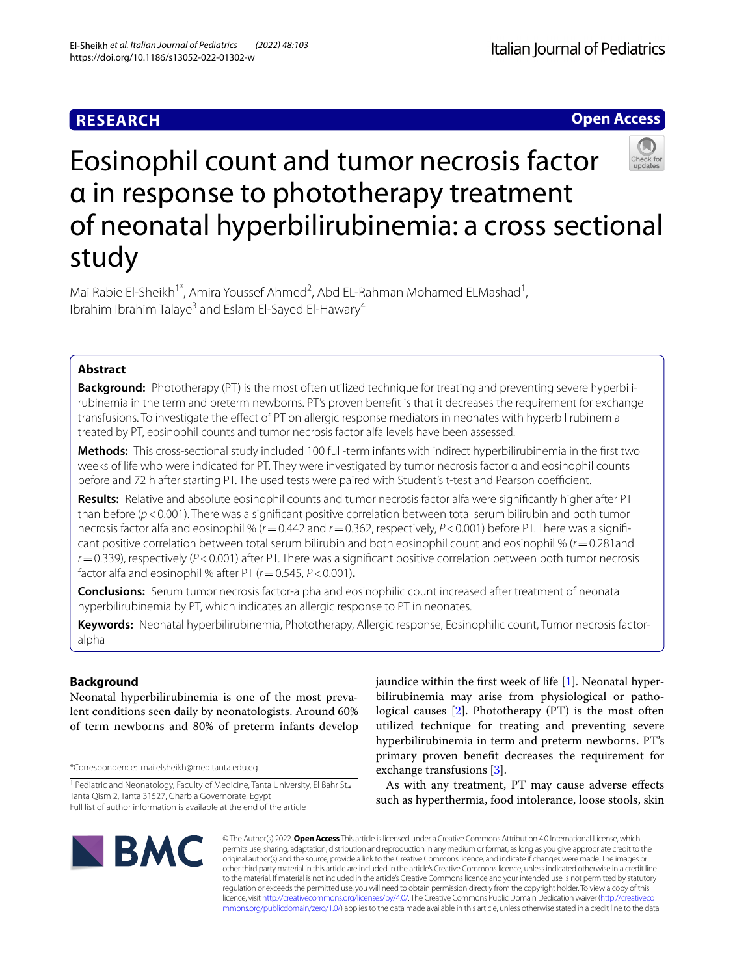**Open Access**

# Eosinophil count and tumor necrosis factor α in response to phototherapy treatment of neonatal hyperbilirubinemia: a cross sectional study

Mai Rabie El-Sheikh<sup>1\*</sup>, Amira Youssef Ahmed<sup>2</sup>, Abd EL-Rahman Mohamed ELMashad<sup>1</sup>, Ibrahim Ibrahim Talaye<sup>3</sup> and Eslam El-Sayed El-Hawary<sup>4</sup>

## **Abstract**

**Background:** Phototherapy (PT) is the most often utilized technique for treating and preventing severe hyperbilirubinemia in the term and preterm newborns. PT's proven beneft is that it decreases the requirement for exchange transfusions. To investigate the efect of PT on allergic response mediators in neonates with hyperbilirubinemia treated by PT, eosinophil counts and tumor necrosis factor alfa levels have been assessed.

**Methods:** This cross-sectional study included 100 full-term infants with indirect hyperbilirubinemia in the frst two weeks of life who were indicated for PT. They were investigated by tumor necrosis factor α and eosinophil counts before and 72 h after starting PT. The used tests were paired with Student's t-test and Pearson coefficient.

**Results:** Relative and absolute eosinophil counts and tumor necrosis factor alfa were signifcantly higher after PT than before (*p*<0.001). There was a signifcant positive correlation between total serum bilirubin and both tumor necrosis factor alfa and eosinophil % ( $r$  = 0.442 and  $r$  = 0.362, respectively,  $P$  < 0.001) before PT. There was a significant positive correlation between total serum bilirubin and both eosinophil count and eosinophil % (*r*=0.281and *r*=0.339), respectively (*P*<0.001) after PT. There was a signifcant positive correlation between both tumor necrosis factor alfa and eosinophil % after PT (*r*=0.545, *P*<0.001)**.**

**Conclusions:** Serum tumor necrosis factor-alpha and eosinophilic count increased after treatment of neonatal hyperbilirubinemia by PT, which indicates an allergic response to PT in neonates.

**Keywords:** Neonatal hyperbilirubinemia, Phototherapy, Allergic response, Eosinophilic count, Tumor necrosis factoralpha

## **Background**

Neonatal hyperbilirubinemia is one of the most prevalent conditions seen daily by neonatologists. Around 60% of term newborns and 80% of preterm infants develop

\*Correspondence: mai.elsheikh@med.tanta.edu.eg

jaundice within the first week of life  $[1]$  $[1]$ . Neonatal hyperbilirubinemia may arise from physiological or pathological causes [\[2\]](#page-4-1). Phototherapy (PT) is the most often utilized technique for treating and preventing severe hyperbilirubinemia in term and preterm newborns. PT's primary proven beneft decreases the requirement for exchange transfusions [\[3](#page-4-2)].

As with any treatment, PT may cause adverse efects such as hyperthermia, food intolerance, loose stools, skin



© The Author(s) 2022. **Open Access** This article is licensed under a Creative Commons Attribution 4.0 International License, which permits use, sharing, adaptation, distribution and reproduction in any medium or format, as long as you give appropriate credit to the original author(s) and the source, provide a link to the Creative Commons licence, and indicate if changes were made. The images or other third party material in this article are included in the article's Creative Commons licence, unless indicated otherwise in a credit line to the material. If material is not included in the article's Creative Commons licence and your intended use is not permitted by statutory regulation or exceeds the permitted use, you will need to obtain permission directly from the copyright holder. To view a copy of this licence, visit [http://creativecommons.org/licenses/by/4.0/.](http://creativecommons.org/licenses/by/4.0/) The Creative Commons Public Domain Dedication waiver ([http://creativeco](http://creativecommons.org/publicdomain/zero/1.0/) [mmons.org/publicdomain/zero/1.0/](http://creativecommons.org/publicdomain/zero/1.0/)) applies to the data made available in this article, unless otherwise stated in a credit line to the data.

<sup>&</sup>lt;sup>1</sup> Pediatric and Neonatology, Faculty of Medicine, Tanta University, El Bahr St. Tanta Qism 2, Tanta 31527, Gharbia Governorate, Egypt Full list of author information is available at the end of the article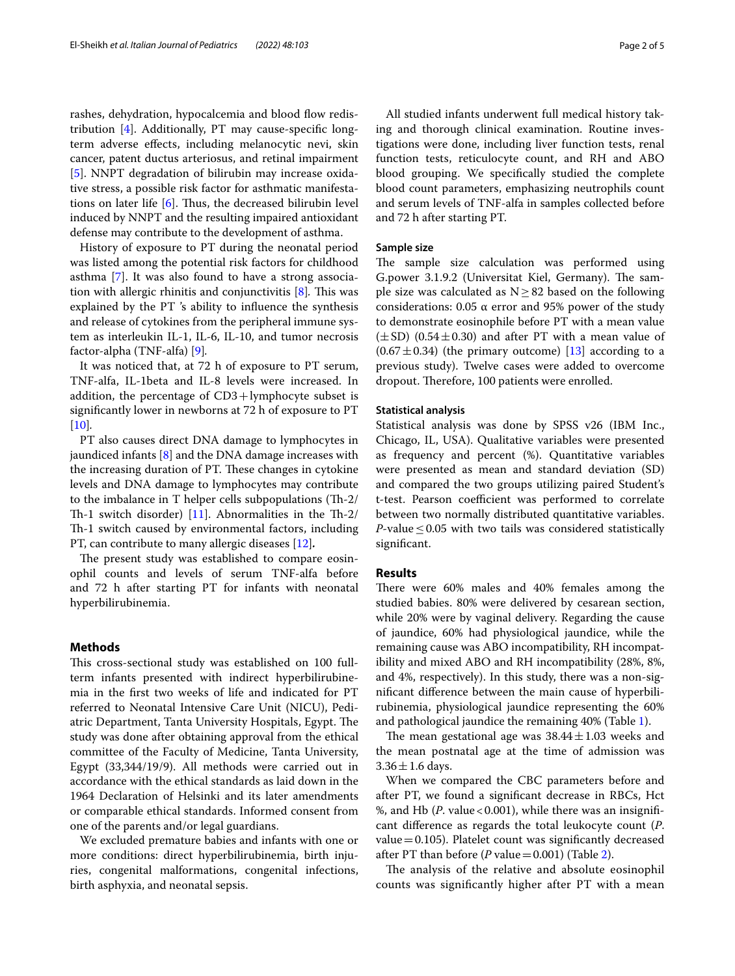rashes, dehydration, hypocalcemia and blood flow redistribution [\[4](#page-4-3)]. Additionally, PT may cause-specifc longterm adverse efects, including melanocytic nevi, skin cancer, patent ductus arteriosus, and retinal impairment [[5\]](#page-4-4). NNPT degradation of bilirubin may increase oxidative stress, a possible risk factor for asthmatic manifestations on later life  $[6]$  $[6]$ . Thus, the decreased bilirubin level induced by NNPT and the resulting impaired antioxidant defense may contribute to the development of asthma.

History of exposure to PT during the neonatal period was listed among the potential risk factors for childhood asthma [\[7](#page-4-6)]. It was also found to have a strong associa-tion with allergic rhinitis and conjunctivitis [[8\]](#page-4-7). This was explained by the PT 's ability to infuence the synthesis and release of cytokines from the peripheral immune system as interleukin IL-1, IL-6, IL-10, and tumor necrosis factor-alpha (TNF-alfa) [\[9\]](#page-4-8)*.*

It was noticed that, at 72 h of exposure to PT serum, TNF-alfa, IL-1beta and IL-8 levels were increased. In addition, the percentage of  $CD3+lymphocyte$  subset is signifcantly lower in newborns at 72 h of exposure to PT [[10\]](#page-4-9)*.*

PT also causes direct DNA damage to lymphocytes in jaundiced infants [\[8](#page-4-7)] and the DNA damage increases with the increasing duration of PT. These changes in cytokine levels and DNA damage to lymphocytes may contribute to the imbalance in T helper cells subpopulations  $(Th-2)$ Th-1 switch disorder) [[11\]](#page-4-10). Abnormalities in the Th-2/ Th-1 switch caused by environmental factors, including PT, can contribute to many allergic diseases [\[12](#page-4-11)]*.*

The present study was established to compare eosinophil counts and levels of serum TNF-alfa before and 72 h after starting PT for infants with neonatal hyperbilirubinemia.

## **Methods**

This cross-sectional study was established on 100 fullterm infants presented with indirect hyperbilirubinemia in the frst two weeks of life and indicated for PT referred to Neonatal Intensive Care Unit (NICU), Pediatric Department, Tanta University Hospitals, Egypt. The study was done after obtaining approval from the ethical committee of the Faculty of Medicine, Tanta University, Egypt (33,344/19/9). All methods were carried out in accordance with the ethical standards as laid down in the 1964 Declaration of Helsinki and its later amendments or comparable ethical standards. Informed consent from one of the parents and/or legal guardians.

We excluded premature babies and infants with one or more conditions: direct hyperbilirubinemia, birth injuries, congenital malformations, congenital infections, birth asphyxia, and neonatal sepsis.

All studied infants underwent full medical history taking and thorough clinical examination. Routine investigations were done, including liver function tests, renal function tests, reticulocyte count, and RH and ABO blood grouping. We specifcally studied the complete blood count parameters, emphasizing neutrophils count and serum levels of TNF-alfa in samples collected before and 72 h after starting PT.

## **Sample size**

The sample size calculation was performed using G.power 3.1.9.2 (Universitat Kiel, Germany). The sample size was calculated as  $N \geq 82$  based on the following considerations:  $0.05 \alpha$  error and 95% power of the study to demonstrate eosinophile before PT with a mean value  $(\pm SD)$  (0.54 $\pm$ 0.30) and after PT with a mean value of  $(0.67 \pm 0.34)$  (the primary outcome) [[13](#page-4-12)] according to a previous study). Twelve cases were added to overcome dropout. Therefore, 100 patients were enrolled.

## **Statistical analysis**

Statistical analysis was done by SPSS v26 (IBM Inc., Chicago, IL, USA). Qualitative variables were presented as frequency and percent (%). Quantitative variables were presented as mean and standard deviation (SD) and compared the two groups utilizing paired Student's t-test. Pearson coefficient was performed to correlate between two normally distributed quantitative variables. *P*-value  $\leq$  0.05 with two tails was considered statistically signifcant.

## **Results**

There were 60% males and 40% females among the studied babies. 80% were delivered by cesarean section, while 20% were by vaginal delivery. Regarding the cause of jaundice, 60% had physiological jaundice, while the remaining cause was ABO incompatibility, RH incompatibility and mixed ABO and RH incompatibility (28%, 8%, and 4%, respectively). In this study, there was a non-signifcant diference between the main cause of hyperbilirubinemia, physiological jaundice representing the 60% and pathological jaundice the remaining 40% (Table [1](#page-2-0)).

The mean gestational age was  $38.44 \pm 1.03$  weeks and the mean postnatal age at the time of admission was  $3.36 \pm 1.6$  days.

When we compared the CBC parameters before and after PT, we found a signifcant decrease in RBCs, Hct %, and Hb (*P*. value < 0.001), while there was an insignificant diference as regards the total leukocyte count (*P*. value=0.105). Platelet count was signifcantly decreased after PT than before (*P* value =  $0.001$ ) (Table [2](#page-2-1)).

The analysis of the relative and absolute eosinophil counts was signifcantly higher after PT with a mean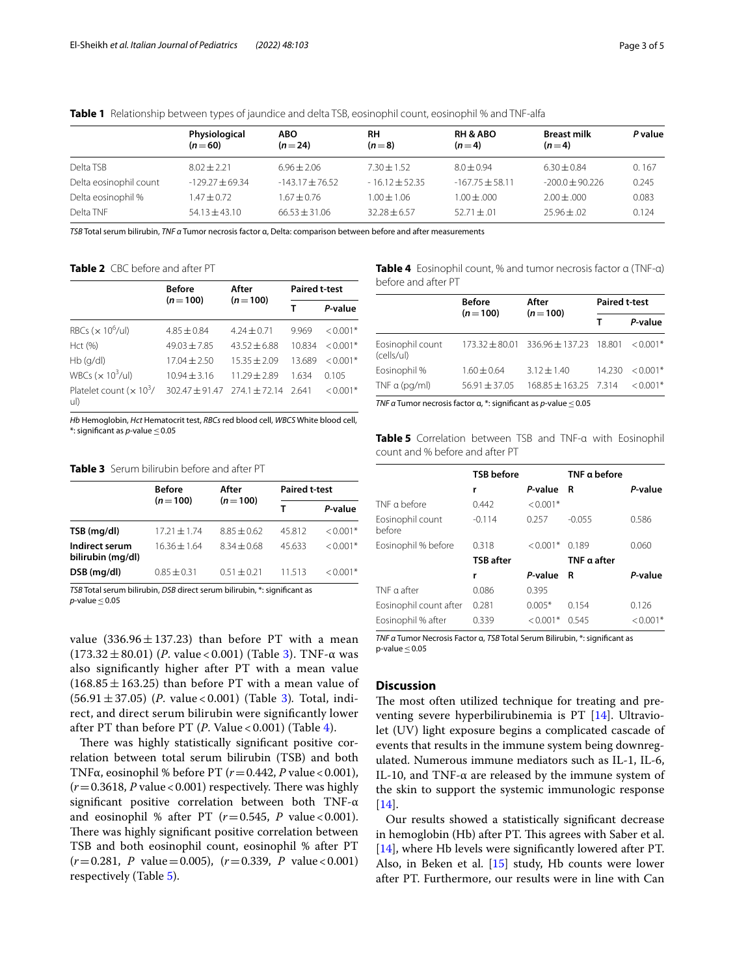<span id="page-2-0"></span>

|  |  |  |  | <b>Table 1</b> Relationship between types of jaundice and delta TSB, eosinophil count, eosinophil % and TNF-alfa |  |
|--|--|--|--|------------------------------------------------------------------------------------------------------------------|--|
|--|--|--|--|------------------------------------------------------------------------------------------------------------------|--|

|                        | Physiological<br>$(n=60)$ | <b>ABO</b><br>$(n=24)$ | <b>RH</b><br>$(n=8)$ | <b>RH &amp; ABO</b><br>$(n=4)$ | <b>Breast milk</b><br>$(n=4)$ | P value |
|------------------------|---------------------------|------------------------|----------------------|--------------------------------|-------------------------------|---------|
| Delta TSB              | $8.02 + 2.21$             | $6.96 + 2.06$          | $7.30 + 1.52$        | $8.0 + 0.94$                   | $6.30 \pm 0.84$               | 0.167   |
| Delta eosinophil count | $-129.27 + 69.34$         | $-143.17 + 76.52$      | $-16.12 + 52.35$     | $-167.75 + 58.11$              | $-200.0 + 90.226$             | 0.245   |
| Delta eosinophil %     | $1.47 \pm 0.72$           | $1.67 + 0.76$          | $1.00 + 1.06$        | $1.00 \pm .000$                | $2.00 \pm 0.00$               | 0.083   |
| Delta TNF              | $54.13 + 43.10$           | $66.53 + 31.06$        | $32.28 + 6.57$       | $52.71 \pm .01$                | $25.96 \pm .02$               | 0.124   |

*TSB* Total serum bilirubin, *TNF α* Tumor necrosis factor α, Delta: comparison between before and after measurements

<span id="page-2-1"></span>**Table 2** CBC before and after PT

|                                      | <b>Before</b>    | After           | <b>Paired t-test</b> |            |
|--------------------------------------|------------------|-----------------|----------------------|------------|
|                                      | $(n=100)$        | $(n=100)$       |                      | P-value    |
| RBCs ( $\times$ 10 <sup>6</sup> /ul) | $4.85 \pm 0.84$  | $4.24 \pm 0.71$ | 9.969                | $< 0.001*$ |
| Hct (%)                              | $49.03 + 7.85$   | $43.52 + 6.88$  | 10.834               | $< 0.001*$ |
| $Hb$ (q/dl)                          | $17.04 \pm 2.50$ | $15.35 + 2.09$  | 13.689               | $< 0.001*$ |
| WBCs $(x 10^3$ /ul)                  | $10.94 + 3.16$   | $11.29 + 2.89$  | 1634                 | 0.105      |
| Platelet count $(x 10^3/$<br>ul)     | $302.47 + 91.47$ | $274.1 + 72.14$ | 2.641                | $< 0.001*$ |

*Hb* Hemoglobin, *Hct* Hematocrit test, *RBCs* red blood cell, *WBCS* White blood cell, \*: signifcant as *p*-value≤0.05

<span id="page-2-2"></span>**Table 3** Serum bilirubin before and after PT

|                                     | <b>Before</b>    | After         | <b>Paired t-test</b> |            |  |
|-------------------------------------|------------------|---------------|----------------------|------------|--|
|                                     | $(n=100)$        | $(n=100)$     |                      | P-value    |  |
| TSB (mg/dl)                         | $17.21 \pm 1.74$ | $8.85 + 0.62$ | 45.812               | $< 0.001*$ |  |
| Indirect serum<br>bilirubin (mg/dl) | $1636 + 164$     | $8.34 + 0.68$ | 45.633               | $< 0.001*$ |  |
| DSB (mg/dl)                         | $0.85 + 0.31$    | $0.51 + 0.21$ | 11513                | $0.001*$   |  |

*TSB* Total serum bilirubin, *DSB* direct serum bilirubin, \*: signifcant as  $p$ -value  $\leq$  0.05

value  $(336.96 \pm 137.23)$  than before PT with a mean (173.32±80.01) (*P*. value < 0.001) (Table [3](#page-2-2)). TNF-α was also signifcantly higher after PT with a mean value  $(168.85 \pm 163.25)$  than before PT with a mean value of (56.91±37.05) (*P*. value < 0.001) (Table [3](#page-2-2))*.* Total, indirect, and direct serum bilirubin were signifcantly lower after PT than before PT (*P*. Value < 0.001) (Table [4](#page-2-3)).

There was highly statistically significant positive correlation between total serum bilirubin (TSB) and both TNFα, eosinophil % before PT (*r*=0.442, *P* value<0.001),  $(r=0.3618, P$  value < 0.001) respectively. There was highly signifcant positive correlation between both TNF-α and eosinophil % after PT  $(r=0.545, P \text{ value} < 0.001)$ . There was highly significant positive correlation between TSB and both eosinophil count, eosinophil % after PT  $(r=0.281, P$  value $=0.005$ ),  $(r=0.339, P$  value $<0.001$ ) respectively (Table [5](#page-2-4)).

<span id="page-2-3"></span>**Table 4** Eosinophil count, % and tumor necrosis factor α (TNF-α) before and after PT

|                                | <b>Before</b>     | After                                   |        | <b>Paired t-test</b> |  |
|--------------------------------|-------------------|-----------------------------------------|--------|----------------------|--|
|                                | $(n=100)$         | $(n=100)$                               |        | P-value              |  |
| Eosinophil count<br>(cells/ul) |                   | $173.32 + 80.01$ 336.96 + 137.23 18.801 |        | $< 0.001*$           |  |
| Eosinophil %                   | $1.60 + 0.64$     | $3.12 \pm 1.40$                         | 14.230 | $< 0.001*$           |  |
| TNF $\alpha$ (pg/ml)           | $56.91 \pm 37.05$ | $168.85 \pm 163.25$ 7.314               |        | $0.001*$             |  |

*TNF α* Tumor necrosis factor α, \*: significant as *p*-value ≤0.05

<span id="page-2-4"></span>**Table 5** Correlation between TSB and TNF-α with Eosinophil count and % before and after PT

|                            | <b>TSB</b> before |            | TNF $\alpha$ before |            |
|----------------------------|-------------------|------------|---------------------|------------|
|                            | r                 | P-value    | R                   | P-value    |
| TNF a before               | 0.442             | $< 0.001*$ |                     |            |
| Eosinophil count<br>before | $-0.114$          | 0.257      | $-0.055$            | 0.586      |
| Eosinophil % before        | 0.318             | $< 0.001*$ | 0.189               | 0.060      |
|                            | <b>TSB</b> after  |            | TNF a after         |            |
|                            | r                 | P-value    | R                   | P-value    |
| TNF $\alpha$ after         | 0.086             | 0.395      |                     |            |
| Eosinophil count after     | 0.281             | $0.005*$   | 0.154               | 0.126      |
| Eosinophil % after         | 0.339             | $< 0.001*$ | 0.545               | $< 0.001*$ |

*TNF α* Tumor Necrosis Factor α, *TSB* Total Serum Bilirubin, \*: signifcant as p-value $\leq$  0.05

## **Discussion**

The most often utilized technique for treating and preventing severe hyperbilirubinemia is PT [\[14\]](#page-4-13). Ultraviolet (UV) light exposure begins a complicated cascade of events that results in the immune system being downregulated. Numerous immune mediators such as IL-1, IL-6, IL-10, and TNF-α are released by the immune system of the skin to support the systemic immunologic response [[14\]](#page-4-13).

Our results showed a statistically signifcant decrease in hemoglobin (Hb) after PT. This agrees with Saber et al. [[14\]](#page-4-13), where Hb levels were signifcantly lowered after PT. Also, in Beken et al. [\[15\]](#page-4-14) study, Hb counts were lower after PT. Furthermore, our results were in line with Can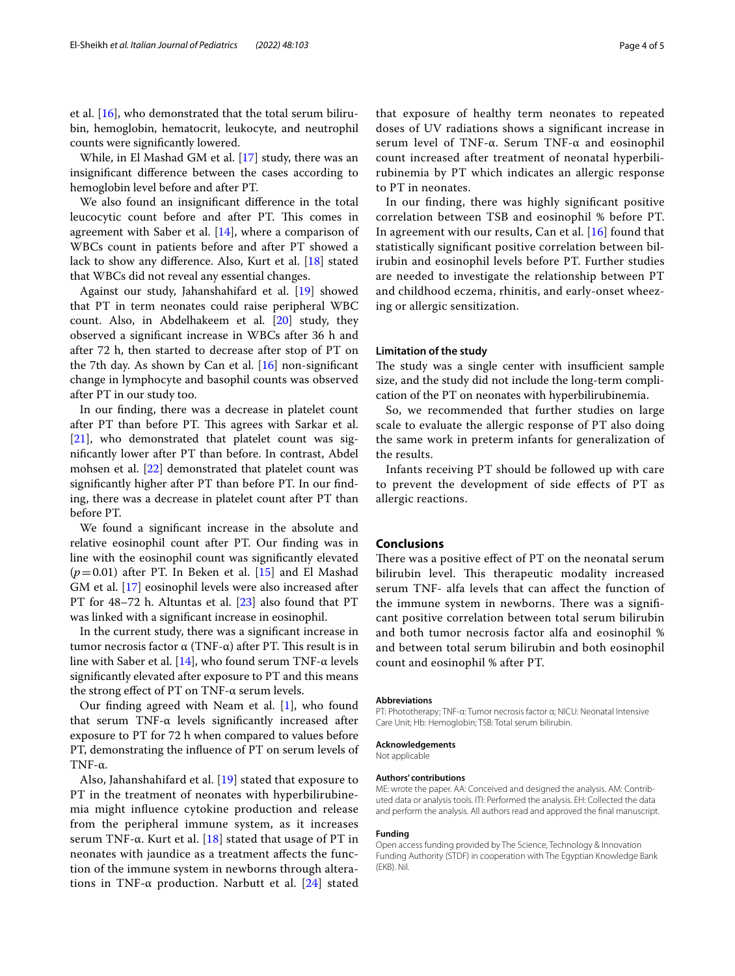et al. [\[16](#page-4-15)], who demonstrated that the total serum bilirubin, hemoglobin, hematocrit, leukocyte, and neutrophil counts were signifcantly lowered.

While, in El Mashad GM et al. [\[17](#page-4-16)] study, there was an insignifcant diference between the cases according to hemoglobin level before and after PT.

We also found an insignifcant diference in the total leucocytic count before and after PT. This comes in agreement with Saber et al. [[14\]](#page-4-13), where a comparison of WBCs count in patients before and after PT showed a lack to show any diference. Also, Kurt et al. [[18](#page-4-17)] stated that WBCs did not reveal any essential changes.

Against our study, Jahanshahifard et al. [[19\]](#page-4-18) showed that PT in term neonates could raise peripheral WBC count. Also, in Abdelhakeem et al. [\[20\]](#page-4-19) study, they observed a signifcant increase in WBCs after 36 h and after 72 h, then started to decrease after stop of PT on the 7th day. As shown by Can et al. [\[16](#page-4-15)] non-signifcant change in lymphocyte and basophil counts was observed after PT in our study too.

In our fnding, there was a decrease in platelet count after PT than before PT. This agrees with Sarkar et al. [[21\]](#page-4-20), who demonstrated that platelet count was signifcantly lower after PT than before. In contrast, Abdel mohsen et al. [\[22](#page-4-21)] demonstrated that platelet count was signifcantly higher after PT than before PT. In our fnding, there was a decrease in platelet count after PT than before PT.

We found a signifcant increase in the absolute and relative eosinophil count after PT. Our fnding was in line with the eosinophil count was signifcantly elevated  $(p=0.01)$  after PT. In Beken et al.  $[15]$  $[15]$  and El Mashad GM et al. [[17\]](#page-4-16) eosinophil levels were also increased after PT for 48–72 h. Altuntas et al. [\[23](#page-4-22)] also found that PT was linked with a signifcant increase in eosinophil.

In the current study, there was a signifcant increase in tumor necrosis factor  $\alpha$  (TNF-α) after PT. This result is in line with Saber et al. [\[14\]](#page-4-13), who found serum TNF-α levels signifcantly elevated after exposure to PT and this means the strong efect of PT on TNF-α serum levels.

Our fnding agreed with Neam et al. [\[1](#page-4-0)], who found that serum TNF- $α$  levels significantly increased after exposure to PT for 72 h when compared to values before PT, demonstrating the infuence of PT on serum levels of TNF-α.

Also, Jahanshahifard et al. [\[19](#page-4-18)] stated that exposure to PT in the treatment of neonates with hyperbilirubinemia might infuence cytokine production and release from the peripheral immune system, as it increases serum TNF- $\alpha$ . Kurt et al. [\[18\]](#page-4-17) stated that usage of PT in neonates with jaundice as a treatment afects the function of the immune system in newborns through alterations in TNF- $\alpha$  production. Narbutt et al. [[24\]](#page-4-23) stated that exposure of healthy term neonates to repeated doses of UV radiations shows a signifcant increase in serum level of TNF-α. Serum TNF-α and eosinophil count increased after treatment of neonatal hyperbilirubinemia by PT which indicates an allergic response to PT in neonates.

In our fnding, there was highly signifcant positive correlation between TSB and eosinophil % before PT. In agreement with our results, Can et al. [[16](#page-4-15)] found that statistically signifcant positive correlation between bilirubin and eosinophil levels before PT. Further studies are needed to investigate the relationship between PT and childhood eczema, rhinitis, and early-onset wheezing or allergic sensitization.

#### **Limitation of the study**

The study was a single center with insufficient sample size, and the study did not include the long-term complication of the PT on neonates with hyperbilirubinemia.

So, we recommended that further studies on large scale to evaluate the allergic response of PT also doing the same work in preterm infants for generalization of the results.

Infants receiving PT should be followed up with care to prevent the development of side efects of PT as allergic reactions.

## **Conclusions**

There was a positive effect of PT on the neonatal serum bilirubin level. This therapeutic modality increased serum TNF- alfa levels that can afect the function of the immune system in newborns. There was a significant positive correlation between total serum bilirubin and both tumor necrosis factor alfa and eosinophil % and between total serum bilirubin and both eosinophil count and eosinophil % after PT.

#### **Abbreviations**

PT: Phototherapy; TNF-α: Tumor necrosis factor α; NICU: Neonatal Intensive Care Unit; Hb: Hemoglobin; TSB: Total serum bilirubin.

#### **Acknowledgements**

Not applicable

#### **Authors' contributions**

ME: wrote the paper. AA: Conceived and designed the analysis. AM: Contributed data or analysis tools. ITI: Performed the analysis. EH: Collected the data and perform the analysis. All authors read and approved the fnal manuscript.

#### **Funding**

Open access funding provided by The Science, Technology & Innovation Funding Authority (STDF) in cooperation with The Egyptian Knowledge Bank (EKB). Nil.